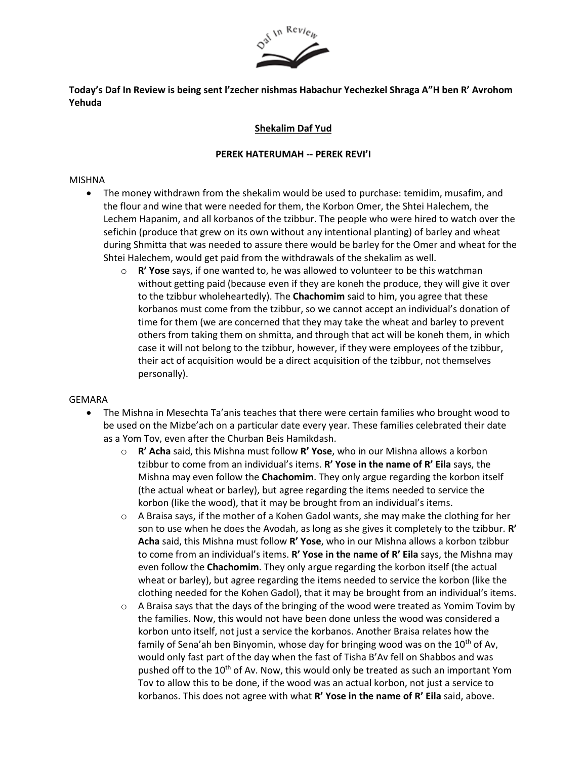

# **Today's Daf In Review is being sent l'zecher nishmas Habachur Yechezkel Shraga A"H ben R' Avrohom Yehuda**

# **Shekalim Daf Yud**

### **PEREK HATERUMAH -- PEREK REVI'I**

### MISHNA

- The money withdrawn from the shekalim would be used to purchase: temidim, musafim, and the flour and wine that were needed for them, the Korbon Omer, the Shtei Halechem, the Lechem Hapanim, and all korbanos of the tzibbur. The people who were hired to watch over the sefichin (produce that grew on its own without any intentional planting) of barley and wheat during Shmitta that was needed to assure there would be barley for the Omer and wheat for the Shtei Halechem, would get paid from the withdrawals of the shekalim as well.
	- o **R' Yose** says, if one wanted to, he was allowed to volunteer to be this watchman without getting paid (because even if they are koneh the produce, they will give it over to the tzibbur wholeheartedly). The **Chachomim** said to him, you agree that these korbanos must come from the tzibbur, so we cannot accept an individual's donation of time for them (we are concerned that they may take the wheat and barley to prevent others from taking them on shmitta, and through that act will be koneh them, in which case it will not belong to the tzibbur, however, if they were employees of the tzibbur, their act of acquisition would be a direct acquisition of the tzibbur, not themselves personally).

#### GEMARA

- The Mishna in Mesechta Ta'anis teaches that there were certain families who brought wood to be used on the Mizbe'ach on a particular date every year. These families celebrated their date as a Yom Tov, even after the Churban Beis Hamikdash.
	- o **R' Acha** said, this Mishna must follow **R' Yose**, who in our Mishna allows a korbon tzibbur to come from an individual's items. **R' Yose in the name of R' Eila** says, the Mishna may even follow the **Chachomim**. They only argue regarding the korbon itself (the actual wheat or barley), but agree regarding the items needed to service the korbon (like the wood), that it may be brought from an individual's items.
	- $\circ$  A Braisa says, if the mother of a Kohen Gadol wants, she may make the clothing for her son to use when he does the Avodah, as long as she gives it completely to the tzibbur. **R' Acha** said, this Mishna must follow **R' Yose**, who in our Mishna allows a korbon tzibbur to come from an individual's items. **R' Yose in the name of R' Eila** says, the Mishna may even follow the **Chachomim**. They only argue regarding the korbon itself (the actual wheat or barley), but agree regarding the items needed to service the korbon (like the clothing needed for the Kohen Gadol), that it may be brought from an individual's items.
	- $\circ$  A Braisa says that the days of the bringing of the wood were treated as Yomim Tovim by the families. Now, this would not have been done unless the wood was considered a korbon unto itself, not just a service the korbanos. Another Braisa relates how the family of Sena'ah ben Binyomin, whose day for bringing wood was on the 10<sup>th</sup> of Av, would only fast part of the day when the fast of Tisha B'Av fell on Shabbos and was pushed off to the 10<sup>th</sup> of Av. Now, this would only be treated as such an important Yom Tov to allow this to be done, if the wood was an actual korbon, not just a service to korbanos. This does not agree with what **R' Yose in the name of R' Eila** said, above.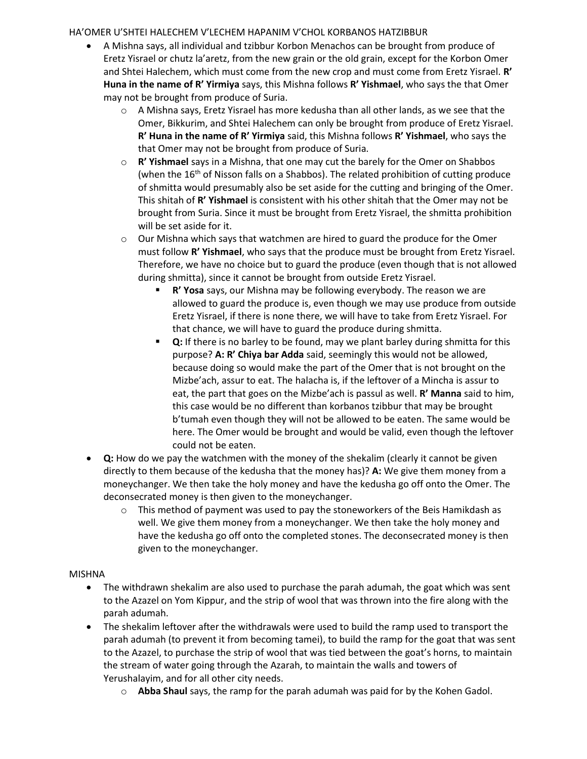### HA'OMER U'SHTEI HALECHEM V'LECHEM HAPANIM V'CHOL KORBANOS HATZIBBUR

- A Mishna says, all individual and tzibbur Korbon Menachos can be brought from produce of Eretz Yisrael or chutz la'aretz, from the new grain or the old grain, except for the Korbon Omer and Shtei Halechem, which must come from the new crop and must come from Eretz Yisrael. **R' Huna in the name of R' Yirmiya** says, this Mishna follows **R' Yishmael**, who says the that Omer may not be brought from produce of Suria.
	- o A Mishna says, Eretz Yisrael has more kedusha than all other lands, as we see that the Omer, Bikkurim, and Shtei Halechem can only be brought from produce of Eretz Yisrael. **R' Huna in the name of R' Yirmiya** said, this Mishna follows **R' Yishmael**, who says the that Omer may not be brought from produce of Suria.
	- o **R' Yishmael** says in a Mishna, that one may cut the barely for the Omer on Shabbos (when the  $16<sup>th</sup>$  of Nisson falls on a Shabbos). The related prohibition of cutting produce of shmitta would presumably also be set aside for the cutting and bringing of the Omer. This shitah of **R' Yishmael** is consistent with his other shitah that the Omer may not be brought from Suria. Since it must be brought from Eretz Yisrael, the shmitta prohibition will be set aside for it.
	- $\circ$  Our Mishna which says that watchmen are hired to guard the produce for the Omer must follow **R' Yishmael**, who says that the produce must be brought from Eretz Yisrael. Therefore, we have no choice but to guard the produce (even though that is not allowed during shmitta), since it cannot be brought from outside Eretz Yisrael.
		- **R' Yosa** says, our Mishna may be following everybody. The reason we are allowed to guard the produce is, even though we may use produce from outside Eretz Yisrael, if there is none there, we will have to take from Eretz Yisrael. For that chance, we will have to guard the produce during shmitta.
		- **Q:** If there is no barley to be found, may we plant barley during shmitta for this purpose? **A: R' Chiya bar Adda** said, seemingly this would not be allowed, because doing so would make the part of the Omer that is not brought on the Mizbe'ach, assur to eat. The halacha is, if the leftover of a Mincha is assur to eat, the part that goes on the Mizbe'ach is passul as well. **R' Manna** said to him, this case would be no different than korbanos tzibbur that may be brought b'tumah even though they will not be allowed to be eaten. The same would be here. The Omer would be brought and would be valid, even though the leftover could not be eaten.
- **Q:** How do we pay the watchmen with the money of the shekalim (clearly it cannot be given directly to them because of the kedusha that the money has)? **A:** We give them money from a moneychanger. We then take the holy money and have the kedusha go off onto the Omer. The deconsecrated money is then given to the moneychanger.
	- $\circ$  This method of payment was used to pay the stoneworkers of the Beis Hamikdash as well. We give them money from a moneychanger. We then take the holy money and have the kedusha go off onto the completed stones. The deconsecrated money is then given to the moneychanger.

#### MISHNA

- The withdrawn shekalim are also used to purchase the parah adumah, the goat which was sent to the Azazel on Yom Kippur, and the strip of wool that was thrown into the fire along with the parah adumah.
- The shekalim leftover after the withdrawals were used to build the ramp used to transport the parah adumah (to prevent it from becoming tamei), to build the ramp for the goat that was sent to the Azazel, to purchase the strip of wool that was tied between the goat's horns, to maintain the stream of water going through the Azarah, to maintain the walls and towers of Yerushalayim, and for all other city needs.
	- o **Abba Shaul** says, the ramp for the parah adumah was paid for by the Kohen Gadol.